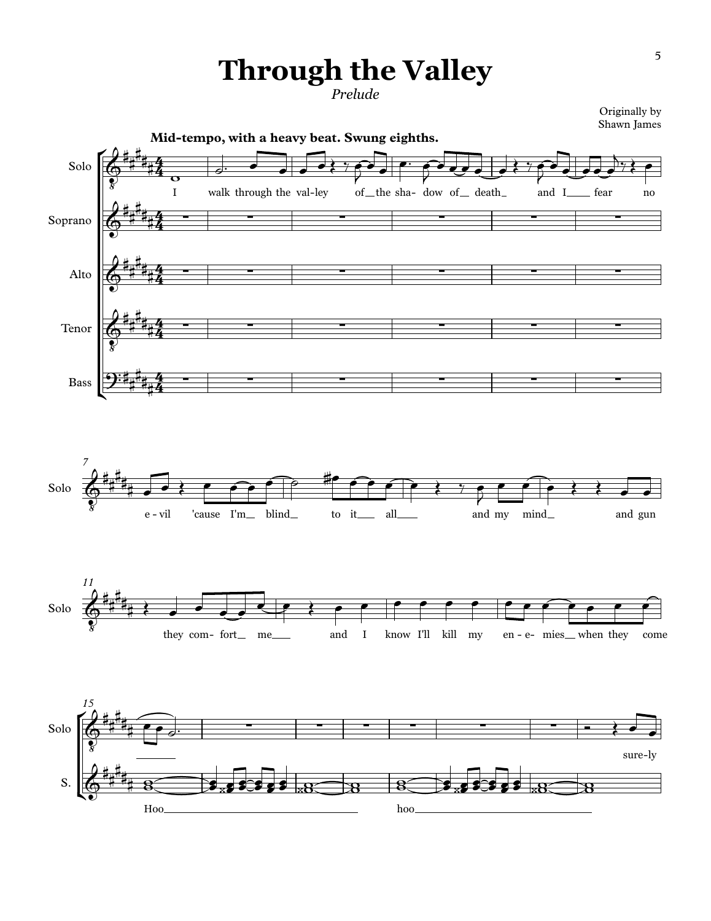## **Through the Valley**<br>*Prelude*

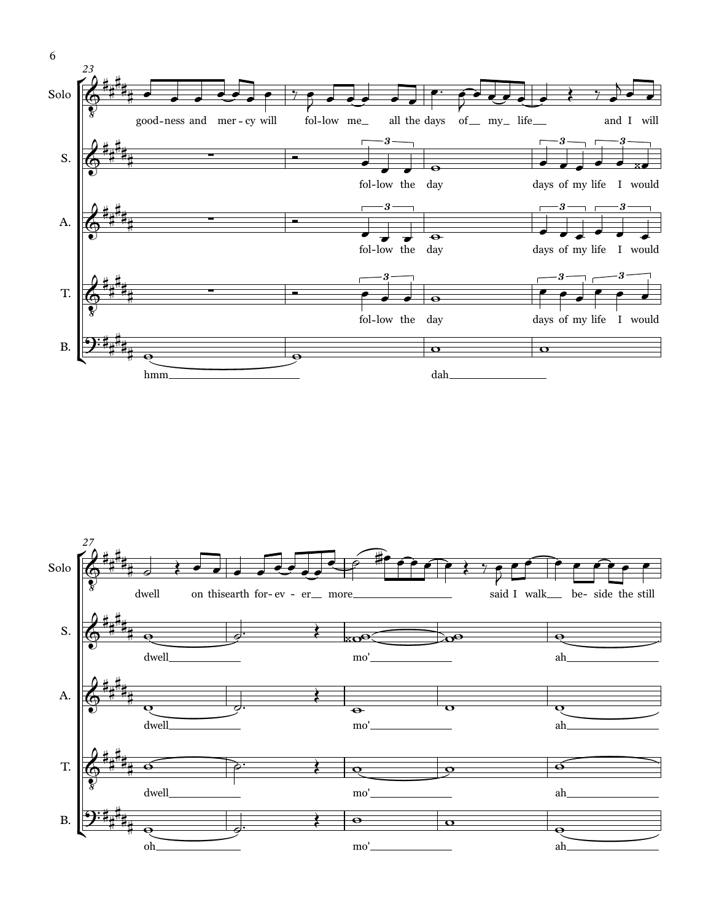

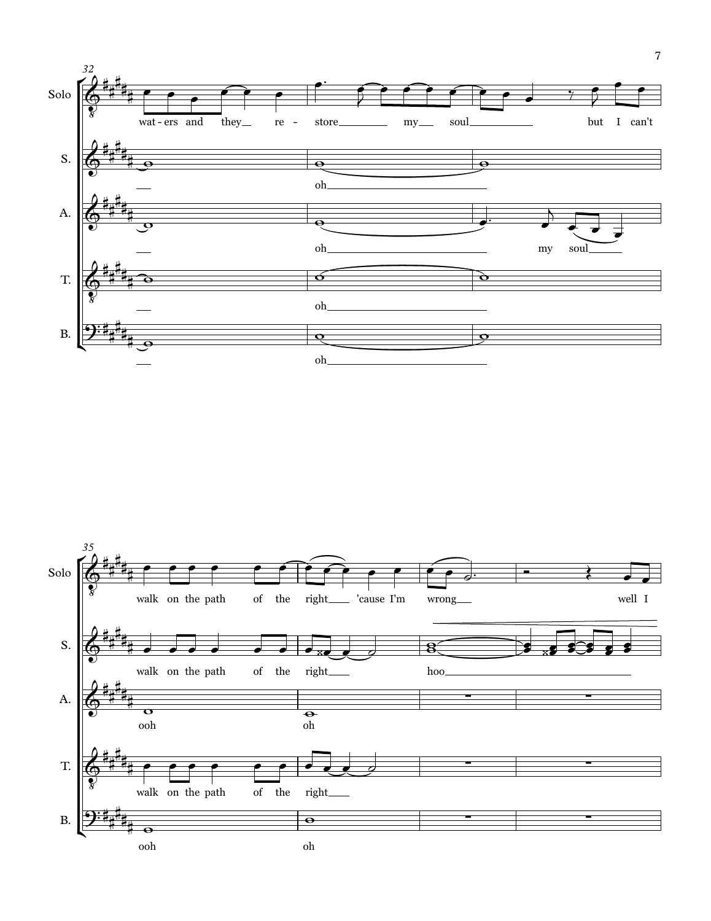

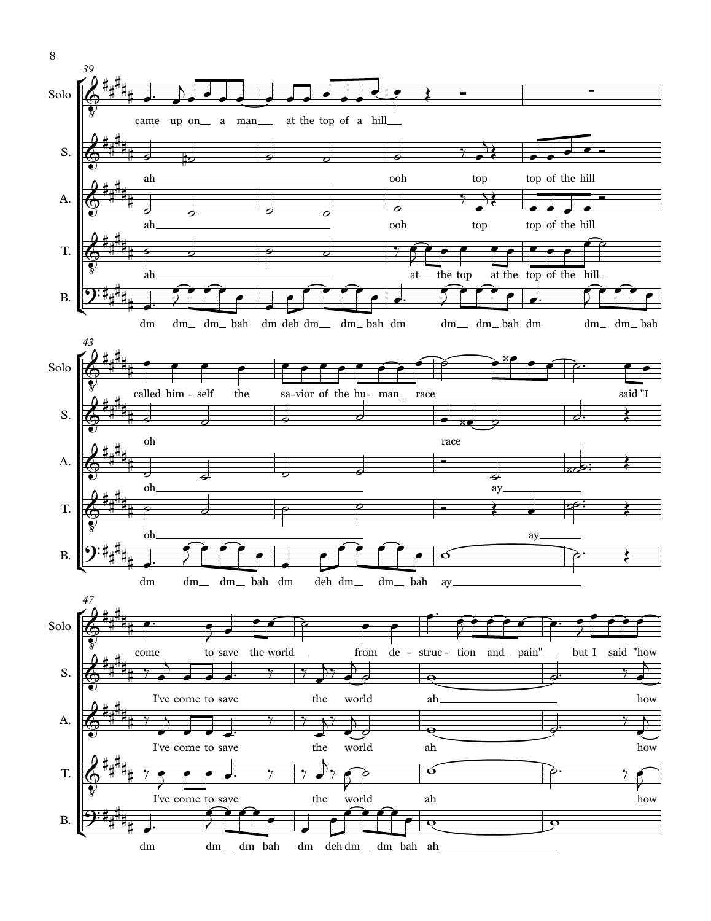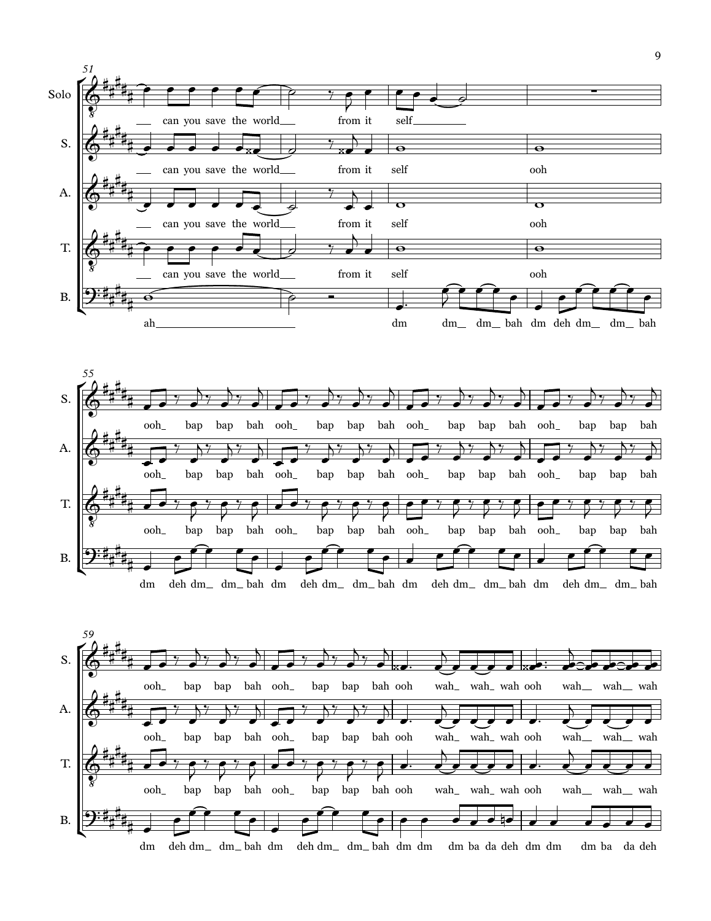



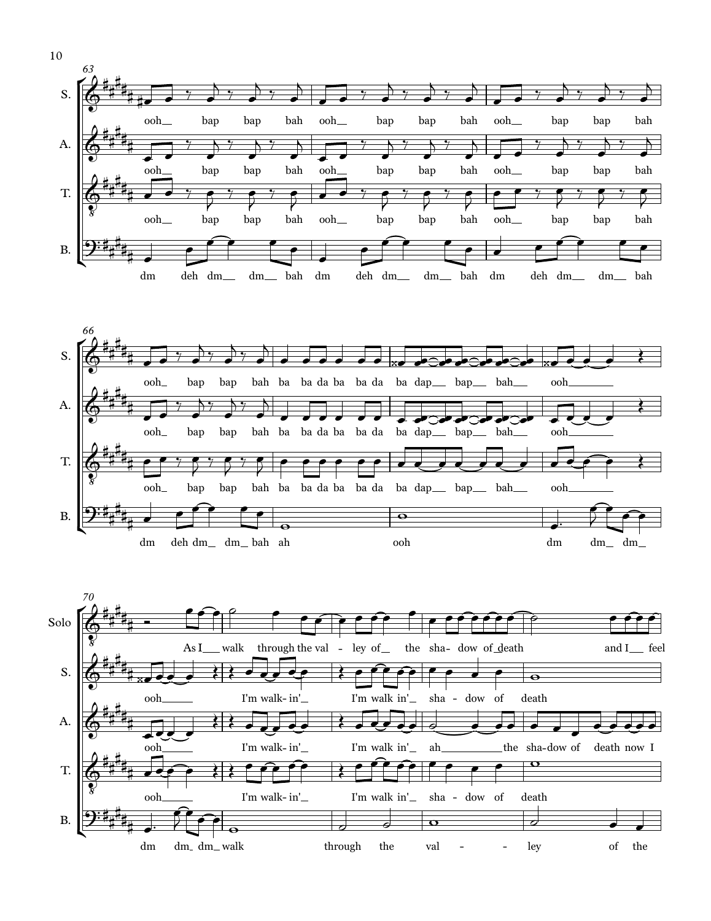